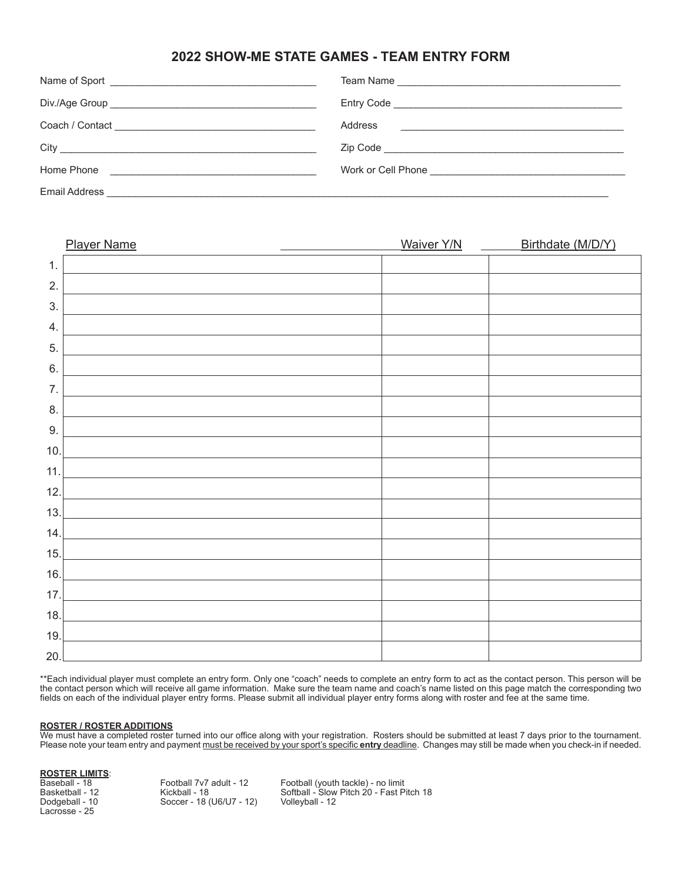### **2022 SHOW-ME STATE GAMES - TEAM ENTRY FORM**

|                      | Address<br><u> 1980 - Andrea Station Barbara, amerikan personal (h. 1980).</u> |
|----------------------|--------------------------------------------------------------------------------|
|                      |                                                                                |
| Home Phone           |                                                                                |
| <b>Email Address</b> |                                                                                |

| <b>Player Name</b> | <b>Waiver Y/N</b> | Birthdate (M/D/Y) |
|--------------------|-------------------|-------------------|
| 1.                 |                   |                   |
| 2.                 |                   |                   |
| 3.                 |                   |                   |
| 4.                 |                   |                   |
| 5.                 |                   |                   |
| 6.                 |                   |                   |
| 7.                 |                   |                   |
| 8.                 |                   |                   |
| 9.                 |                   |                   |
| 10.                |                   |                   |
| 11.                |                   |                   |
| 12.                |                   |                   |
| 13.                |                   |                   |
| 14.                |                   |                   |
| 15.                |                   |                   |
| 16.                |                   |                   |
| 17.                |                   |                   |
| 18.                |                   |                   |
| 19.                |                   |                   |
| 20.                |                   |                   |

\*\*Each individual player must complete an entry form. Only one "coach" needs to complete an entry form to act as the contact person. This person will be the contact person which will receive all game information. Make sure the team name and coach's name listed on this page match the corresponding two fields on each of the individual player entry forms. Please submit all individual player entry forms along with roster and fee at the same time.

#### **ROSTER / ROSTER ADDITIONS**

We must have a completed roster turned into our office along with your registration. Rosters should be submitted at least 7 days prior to the tournament. Please note your team entry and payment must be received by your sport's specific **entry** deadline. Changes may still be made when you check-in if needed.

|  | <b>ROSTER LIMITS:</b> |  |
|--|-----------------------|--|
|  |                       |  |

**Baseball - 18** Baseball - 18 Football 7v7 adult - 12 Football (youth tackle) - no limit Basketball - 12 Kickball - 18 Softball - Slow Pitch 20 - Fast Pitch 18 Dodgeball - 10 Soccer - 18 (U6/U7 - 12) Volleyball - 12 Lacrosse - 25